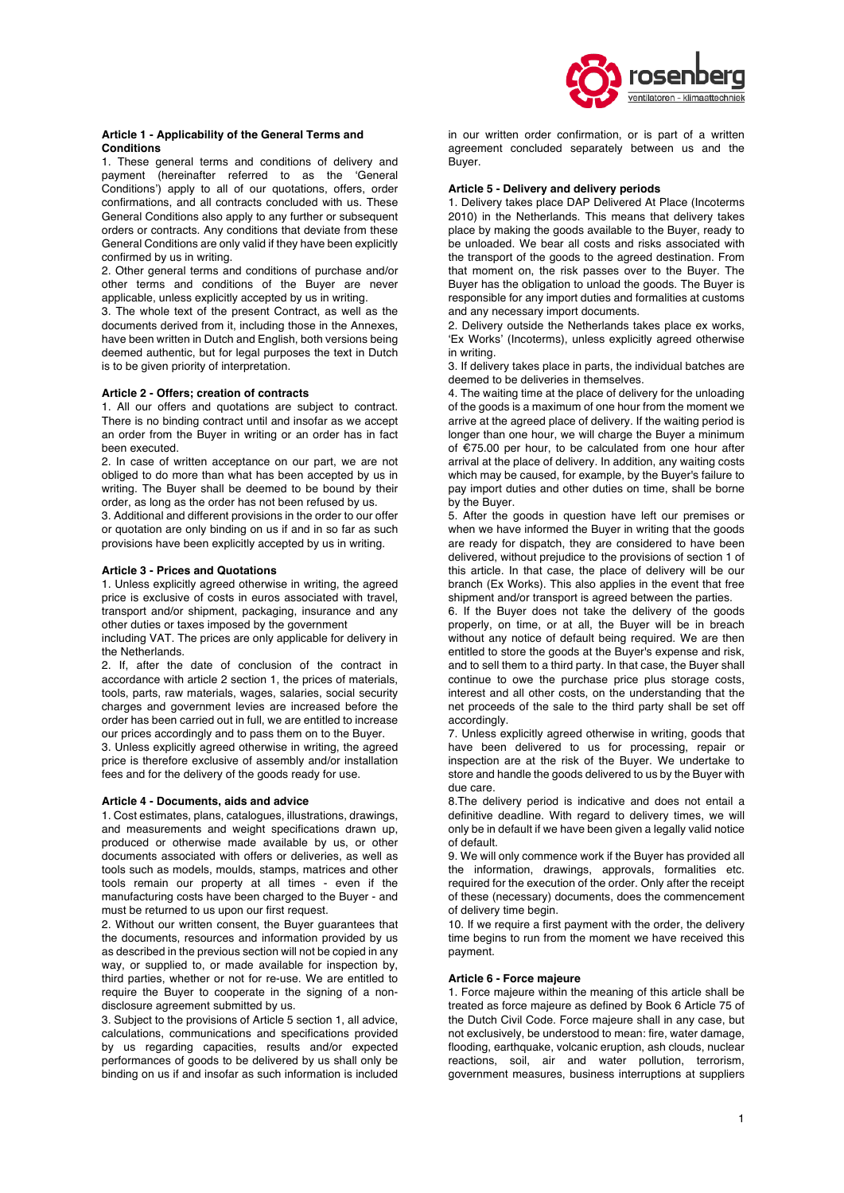

## **Article 1 - Applicability of the General Terms and Conditions**

1. These general terms and conditions of delivery and payment (hereinafter referred to as the 'General Conditions') apply to all of our quotations, offers, order confirmations, and all contracts concluded with us. These General Conditions also apply to any further or subsequent orders or contracts. Any conditions that deviate from these General Conditions are only valid if they have been explicitly confirmed by us in writing.

2. Other general terms and conditions of purchase and/or other terms and conditions of the Buyer are never applicable, unless explicitly accepted by us in writing.

3. The whole text of the present Contract, as well as the documents derived from it, including those in the Annexes, have been written in Dutch and English, both versions being deemed authentic, but for legal purposes the text in Dutch is to be given priority of interpretation.

# **Article 2 - Offers; creation of contracts**

1. All our offers and quotations are subject to contract. There is no binding contract until and insofar as we accept an order from the Buyer in writing or an order has in fact been executed.

2. In case of written acceptance on our part, we are not obliged to do more than what has been accepted by us in writing. The Buyer shall be deemed to be bound by their order, as long as the order has not been refused by us.

3. Additional and different provisions in the order to our offer or quotation are only binding on us if and in so far as such provisions have been explicitly accepted by us in writing.

# **Article 3 - Prices and Quotations**

1. Unless explicitly agreed otherwise in writing, the agreed price is exclusive of costs in euros associated with travel, transport and/or shipment, packaging, insurance and any other duties or taxes imposed by the government

including VAT. The prices are only applicable for delivery in the Netherlands.

2. If, after the date of conclusion of the contract in accordance with article 2 section 1, the prices of materials, tools, parts, raw materials, wages, salaries, social security charges and government levies are increased before the order has been carried out in full, we are entitled to increase our prices accordingly and to pass them on to the Buyer.

3. Unless explicitly agreed otherwise in writing, the agreed price is therefore exclusive of assembly and/or installation fees and for the delivery of the goods ready for use.

#### **Article 4 - Documents, aids and advice**

1. Cost estimates, plans, catalogues, illustrations, drawings, and measurements and weight specifications drawn up, produced or otherwise made available by us, or other documents associated with offers or deliveries, as well as tools such as models, moulds, stamps, matrices and other tools remain our property at all times - even if the manufacturing costs have been charged to the Buyer - and must be returned to us upon our first request.

2. Without our written consent, the Buyer guarantees that the documents, resources and information provided by us as described in the previous section will not be copied in any way, or supplied to, or made available for inspection by, third parties, whether or not for re-use. We are entitled to require the Buyer to cooperate in the signing of a nondisclosure agreement submitted by us.

3. Subject to the provisions of Article 5 section 1, all advice, calculations, communications and specifications provided by us regarding capacities, results and/or expected performances of goods to be delivered by us shall only be binding on us if and insofar as such information is included in our written order confirmation, or is part of a written agreement concluded separately between us and the Buyer.

#### **Article 5 - Delivery and delivery periods**

1. Delivery takes place DAP Delivered At Place (Incoterms 2010) in the Netherlands. This means that delivery takes place by making the goods available to the Buyer, ready to be unloaded. We bear all costs and risks associated with the transport of the goods to the agreed destination. From that moment on, the risk passes over to the Buyer. The Buyer has the obligation to unload the goods. The Buyer is responsible for any import duties and formalities at customs and any necessary import documents.

2. Delivery outside the Netherlands takes place ex works, 'Ex Works' (Incoterms), unless explicitly agreed otherwise in writing.

3. If delivery takes place in parts, the individual batches are deemed to be deliveries in themselves.

4. The waiting time at the place of delivery for the unloading of the goods is a maximum of one hour from the moment we arrive at the agreed place of delivery. If the waiting period is longer than one hour, we will charge the Buyer a minimum of €75.00 per hour, to be calculated from one hour after arrival at the place of delivery. In addition, any waiting costs which may be caused, for example, by the Buyer's failure to pay import duties and other duties on time, shall be borne by the Buyer.

5. After the goods in question have left our premises or when we have informed the Buyer in writing that the goods are ready for dispatch, they are considered to have been delivered, without prejudice to the provisions of section 1 of this article. In that case, the place of delivery will be our branch (Ex Works). This also applies in the event that free shipment and/or transport is agreed between the parties.

6. If the Buyer does not take the delivery of the goods properly, on time, or at all, the Buyer will be in breach without any notice of default being required. We are then entitled to store the goods at the Buyer's expense and risk, and to sell them to a third party. In that case, the Buyer shall continue to owe the purchase price plus storage costs, interest and all other costs, on the understanding that the net proceeds of the sale to the third party shall be set off accordingly.

7. Unless explicitly agreed otherwise in writing, goods that have been delivered to us for processing, repair or inspection are at the risk of the Buyer. We undertake to store and handle the goods delivered to us by the Buyer with due care.

8.The delivery period is indicative and does not entail a definitive deadline. With regard to delivery times, we will only be in default if we have been given a legally valid notice of default.

9. We will only commence work if the Buyer has provided all the information, drawings, approvals, formalities etc. required for the execution of the order. Only after the receipt of these (necessary) documents, does the commencement of delivery time begin.

10. If we require a first payment with the order, the delivery time begins to run from the moment we have received this payment.

### **Article 6 - Force majeure**

1. Force majeure within the meaning of this article shall be treated as force majeure as defined by Book 6 Article 75 of the Dutch Civil Code. Force majeure shall in any case, but not exclusively, be understood to mean: fire, water damage, flooding, earthquake, volcanic eruption, ash clouds, nuclear reactions, soil, air and water pollution, terrorism, government measures, business interruptions at suppliers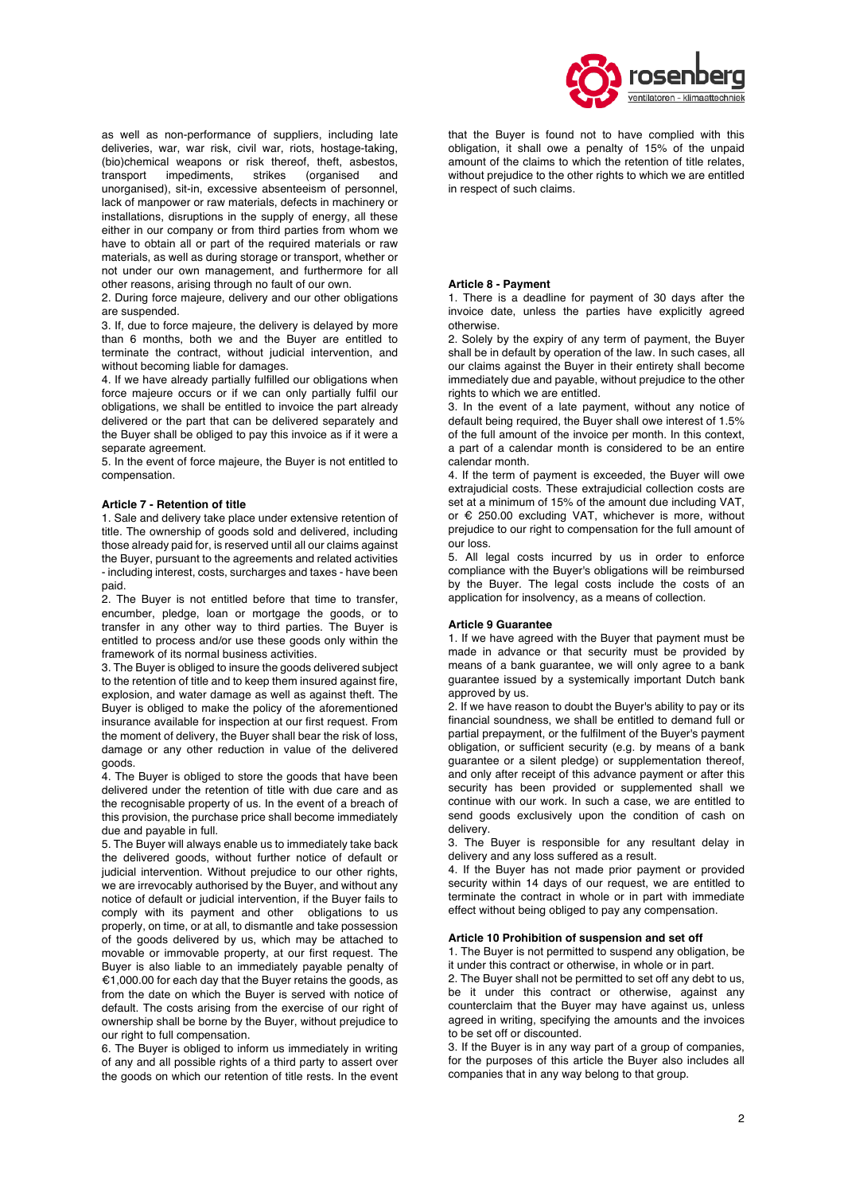

as well as non-performance of suppliers, including late deliveries, war, war risk, civil war, riots, hostage-taking, (bio)chemical weapons or risk thereof, theft, asbestos, transport impediments, strikes (organised and unorganised), sit-in, excessive absenteeism of personnel, lack of manpower or raw materials, defects in machinery or installations, disruptions in the supply of energy, all these either in our company or from third parties from whom we have to obtain all or part of the required materials or raw materials, as well as during storage or transport, whether or not under our own management, and furthermore for all other reasons, arising through no fault of our own.

2. During force majeure, delivery and our other obligations are suspended.

3. If, due to force majeure, the delivery is delayed by more than 6 months, both we and the Buyer are entitled to terminate the contract, without judicial intervention, and without becoming liable for damages.

4. If we have already partially fulfilled our obligations when force majeure occurs or if we can only partially fulfil our obligations, we shall be entitled to invoice the part already delivered or the part that can be delivered separately and the Buyer shall be obliged to pay this invoice as if it were a separate agreement.

5. In the event of force majeure, the Buyer is not entitled to compensation.

## **Article 7 - Retention of title**

1. Sale and delivery take place under extensive retention of title. The ownership of goods sold and delivered, including those already paid for, is reserved until all our claims against the Buyer, pursuant to the agreements and related activities - including interest, costs, surcharges and taxes - have been paid.

2. The Buyer is not entitled before that time to transfer, encumber, pledge, loan or mortgage the goods, or to transfer in any other way to third parties. The Buyer is entitled to process and/or use these goods only within the framework of its normal business activities.

3. The Buyer is obliged to insure the goods delivered subject to the retention of title and to keep them insured against fire, explosion, and water damage as well as against theft. The Buyer is obliged to make the policy of the aforementioned insurance available for inspection at our first request. From the moment of delivery, the Buyer shall bear the risk of loss, damage or any other reduction in value of the delivered goods.

4. The Buyer is obliged to store the goods that have been delivered under the retention of title with due care and as the recognisable property of us. In the event of a breach of this provision, the purchase price shall become immediately due and payable in full.

5. The Buyer will always enable us to immediately take back the delivered goods, without further notice of default or judicial intervention. Without prejudice to our other rights, we are irrevocably authorised by the Buyer, and without any notice of default or judicial intervention, if the Buyer fails to comply with its payment and other obligations to us properly, on time, or at all, to dismantle and take possession of the goods delivered by us, which may be attached to movable or immovable property, at our first request. The Buyer is also liable to an immediately payable penalty of €1,000.00 for each day that the Buyer retains the goods, as from the date on which the Buyer is served with notice of default. The costs arising from the exercise of our right of ownership shall be borne by the Buyer, without prejudice to our right to full compensation.

6. The Buyer is obliged to inform us immediately in writing of any and all possible rights of a third party to assert over the goods on which our retention of title rests. In the event that the Buyer is found not to have complied with this obligation, it shall owe a penalty of 15% of the unpaid amount of the claims to which the retention of title relates, without prejudice to the other rights to which we are entitled in respect of such claims.

#### **Article 8 - Payment**

1. There is a deadline for payment of 30 days after the invoice date, unless the parties have explicitly agreed otherwise.

2. Solely by the expiry of any term of payment, the Buyer shall be in default by operation of the law. In such cases, all our claims against the Buyer in their entirety shall become immediately due and payable, without prejudice to the other rights to which we are entitled.

3. In the event of a late payment, without any notice of default being required, the Buyer shall owe interest of 1.5% of the full amount of the invoice per month. In this context, a part of a calendar month is considered to be an entire calendar month.

4. If the term of payment is exceeded, the Buyer will owe extrajudicial costs. These extrajudicial collection costs are set at a minimum of 15% of the amount due including VAT, or € 250.00 excluding VAT, whichever is more, without prejudice to our right to compensation for the full amount of our loss.

5. All legal costs incurred by us in order to enforce compliance with the Buyer's obligations will be reimbursed by the Buyer. The legal costs include the costs of an application for insolvency, as a means of collection.

## **Article 9 Guarantee**

1. If we have agreed with the Buyer that payment must be made in advance or that security must be provided by means of a bank quarantee, we will only agree to a bank guarantee issued by a systemically important Dutch bank approved by us.

2. If we have reason to doubt the Buyer's ability to pay or its financial soundness, we shall be entitled to demand full or partial prepayment, or the fulfilment of the Buyer's payment obligation, or sufficient security (e.g. by means of a bank guarantee or a silent pledge) or supplementation thereof, and only after receipt of this advance payment or after this security has been provided or supplemented shall we continue with our work. In such a case, we are entitled to send goods exclusively upon the condition of cash on delivery.

3. The Buyer is responsible for any resultant delay in delivery and any loss suffered as a result.

4. If the Buyer has not made prior payment or provided security within 14 days of our request, we are entitled to terminate the contract in whole or in part with immediate effect without being obliged to pay any compensation.

## **Article 10 Prohibition of suspension and set off**

1. The Buyer is not permitted to suspend any obligation, be it under this contract or otherwise, in whole or in part.

2. The Buyer shall not be permitted to set off any debt to us, be it under this contract or otherwise, against any counterclaim that the Buyer may have against us, unless agreed in writing, specifying the amounts and the invoices to be set off or discounted.

3. If the Buyer is in any way part of a group of companies, for the purposes of this article the Buyer also includes all companies that in any way belong to that group.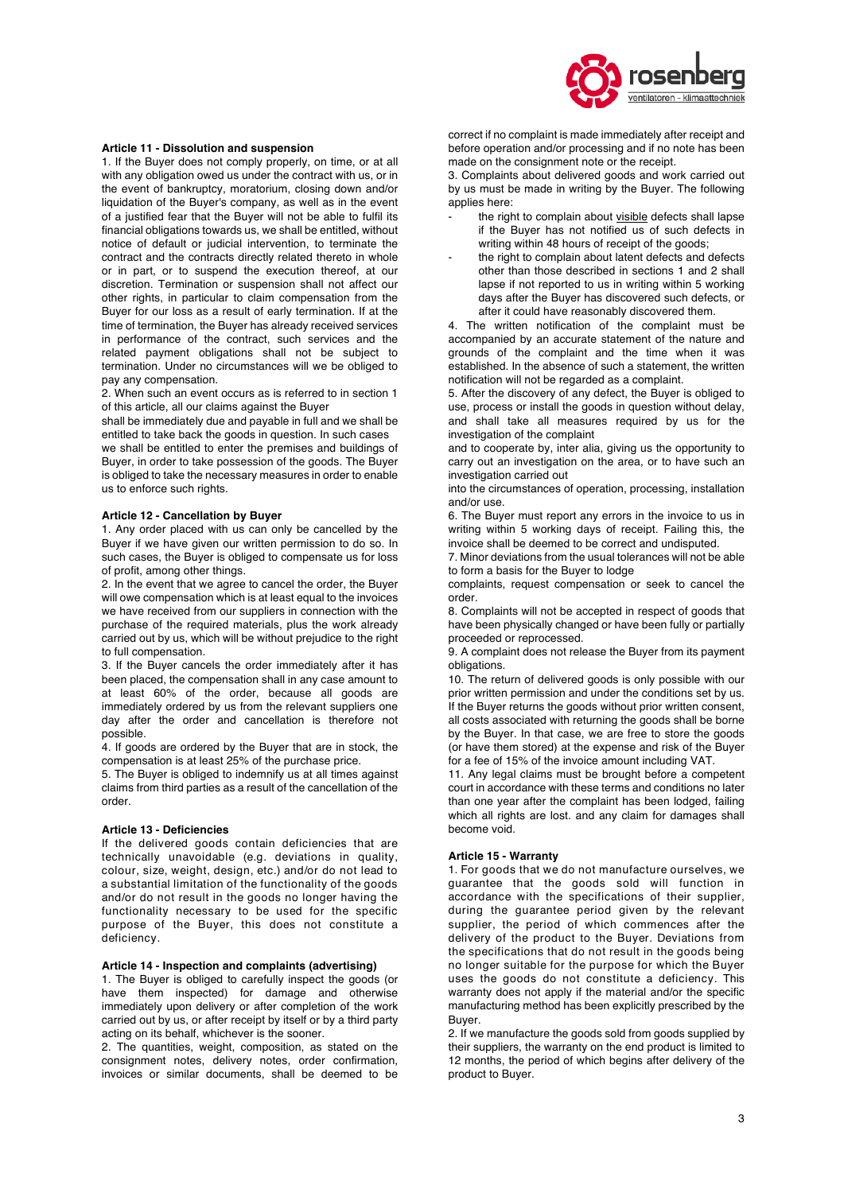

# **Article 11 - Dissolution and suspension**

1. If the Buyer does not comply properly, on time, or at all with any obligation owed us under the contract with us, or in the event of bankruptcy, moratorium, closing down and/or liquidation of the Buyer's company, as well as in the event of a justified fear that the Buyer will not be able to fulfil its financial obligations towards us, we shall be entitled, without notice of default or judicial intervention, to terminate the contract and the contracts directly related thereto in whole or in part, or to suspend the execution thereof, at our discretion. Termination or suspension shall not affect our other rights, in particular to claim compensation from the Buyer for our loss as a result of early termination. If at the time of termination, the Buyer has already received services in performance of the contract, such services and the related payment obligations shall not be subject to termination. Under no circumstances will we be obliged to pay any compensation.

2. When such an event occurs as is referred to in section 1 of this article, all our claims against the Buyer

shall be immediately due and payable in full and we shall be entitled to take back the goods in question. In such cases we shall be entitled to enter the premises and buildings of Buyer, in order to take possession of the goods. The Buyer is obliged to take the necessary measures in order to enable us to enforce such rights.

#### **Article 12 - Cancellation by Buyer**

1. Any order placed with us can only be cancelled by the Buyer if we have given our written permission to do so. In such cases, the Buyer is obliged to compensate us for loss of profit, among other things.

2. In the event that we agree to cancel the order, the Buyer will owe compensation which is at least equal to the invoices we have received from our suppliers in connection with the purchase of the required materials, plus the work already carried out by us, which will be without prejudice to the right to full compensation.

3. If the Buyer cancels the order immediately after it has been placed, the compensation shall in any case amount to at least 60% of the order, because all goods are immediately ordered by us from the relevant suppliers one day after the order and cancellation is therefore not possible.

4. If goods are ordered by the Buyer that are in stock, the compensation is at least 25% of the purchase price.

5. The Buyer is obliged to indemnify us at all times against claims from third parties as a result of the cancellation of the order.

### **Article 13 - Deficiencies**

If the delivered goods contain deficiencies that are technically unavoidable (e.g. deviations in quality, colour, size, weight, design, etc.) and/or do not lead to a substantial limitation of the functionality of the goods and/or do not result in the goods no longer having the functionality necessary to be used for the specific purpose of the Buyer, this does not constitute a deficiency.

### **Article 14 - Inspection and complaints (advertising)**

1. The Buyer is obliged to carefully inspect the goods (or have them inspected) for damage and otherwise immediately upon delivery or after completion of the work carried out by us, or after receipt by itself or by a third party acting on its behalf, whichever is the sooner.

2. The quantities, weight, composition, as stated on the consignment notes, delivery notes, order confirmation, invoices or similar documents, shall be deemed to be correct if no complaint is made immediately after receipt and before operation and/or processing and if no note has been made on the consignment note or the receipt.

3. Complaints about delivered goods and work carried out by us must be made in writing by the Buyer. The following applies here:

- the right to complain about visible defects shall lapse if the Buyer has not notified us of such defects in writing within 48 hours of receipt of the goods:
- the right to complain about latent defects and defects other than those described in sections 1 and 2 shall lapse if not reported to us in writing within 5 working days after the Buyer has discovered such defects, or after it could have reasonably discovered them.

4. The written notification of the complaint must be accompanied by an accurate statement of the nature and grounds of the complaint and the time when it was established. In the absence of such a statement, the written notification will not be regarded as a complaint.

5. After the discovery of any defect, the Buyer is obliged to use, process or install the goods in question without delay, and shall take all measures required by us for the investigation of the complaint

and to cooperate by, inter alia, giving us the opportunity to carry out an investigation on the area, or to have such an investigation carried out

into the circumstances of operation, processing, installation and/or use.

6. The Buyer must report any errors in the invoice to us in writing within 5 working days of receipt. Failing this, the invoice shall be deemed to be correct and undisputed.

7. Minor deviations from the usual tolerances will not be able to form a basis for the Buyer to lodge

complaints, request compensation or seek to cancel the order.

8. Complaints will not be accepted in respect of goods that have been physically changed or have been fully or partially proceeded or reprocessed.

9. A complaint does not release the Buyer from its payment obligations.

10. The return of delivered goods is only possible with our prior written permission and under the conditions set by us. If the Buyer returns the goods without prior written consent, all costs associated with returning the goods shall be borne by the Buyer. In that case, we are free to store the goods (or have them stored) at the expense and risk of the Buyer for a fee of 15% of the invoice amount including VAT.

11. Any legal claims must be brought before a competent court in accordance with these terms and conditions no later than one year after the complaint has been lodged, failing which all rights are lost. and any claim for damages shall become void.

## **Article 15 - Warranty**

1. For goods that we do not manufacture ourselves, we guarantee that the goods sold will function in accordance with the specifications of their supplier, during the guarantee period given by the relevant supplier, the period of which commences after the delivery of the product to the Buyer. Deviations from the specifications that do not result in the goods being no longer suitable for the purpose for which the Buyer uses the goods do not constitute a deficiency. This warranty does not apply if the material and/or the specific manufacturing method has been explicitly prescribed by the Buyer.

2. If we manufacture the goods sold from goods supplied by their suppliers, the warranty on the end product is limited to 12 months, the period of which begins after delivery of the product to Buyer.